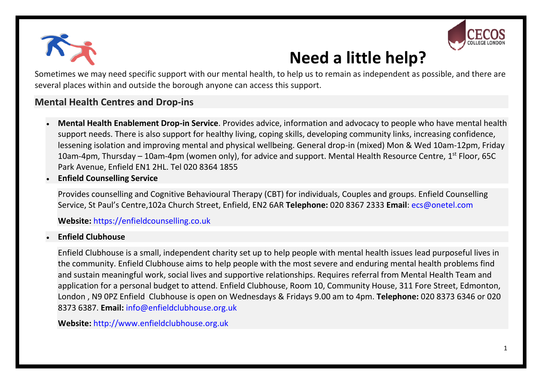



## **Need a little help?**

Sometimes we may need specific support with our mental health, to help us to remain as independent as possible, and there are several places within and outside the borough anyone can access this support.

### **[Mental Health Centres and Drop-ins](javascript:void(0);)**

- **Mental Health Enablement Drop-in Service**. Provides advice, information and advocacy to people who have mental health support needs. There is also support for healthy living, coping skills, developing community links, increasing confidence, lessening isolation and improving mental and physical wellbeing. General drop-in (mixed) Mon & Wed 10am-12pm, Friday 10am-4pm, Thursday – 10am-4pm (women only), for advice and support. Mental Health Resource Centre, 1<sup>st</sup> Floor, 65C Park Avenue, Enfield EN1 2HL. Tel 020 8364 1855
- **Enfield Counselling Service**

Provides counselling and Cognitive Behavioural Therapy (CBT) for individuals, Couples and groups. Enfield Counselling Service, St Paul's Centre,102a Church Street, Enfield, EN2 6AR **Telephone:** 020 8367 2333 **Email**: [ecs@onetel.com](mailto:ecs@onetel.com)

**Website:** [https://enfieldcounselling.co.uk](https://enfieldcounselling.co.uk/)

#### **Enfield Clubhouse**

Enfield Clubhouse is a small, independent charity set up to help people with mental health issues lead purposeful lives in the community. Enfield Clubhouse aims to help people with the most severe and enduring mental health problems find and sustain meaningful work, social lives and supportive relationships. Requires referral from Mental Health Team and application for a personal budget to attend. Enfield Clubhouse, Room 10, Community House, 311 Fore Street, Edmonton, London , N9 0PZ Enfield Clubhouse is open on Wednesdays & Fridays 9.00 am to 4pm. **Telephone:** 020 8373 6346 or 020 8373 6387. **Email:** [info@enfieldclubhouse.org.uk](mailto:info@enfieldclubhouse.org.uk)

**Website:** [http://www.enfieldclubhouse.org.uk](http://www.enfieldclubhouse.org.uk/contact-details.html)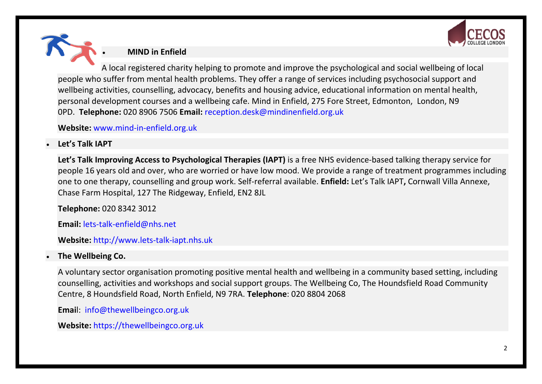

**MIND in Enfield**

A local registered charity helping to promote and improve the psychological and social wellbeing of local people who suffer from mental health problems. They offer a range of services including psychosocial support and wellbeing activities, counselling, advocacy, benefits and housing advice, educational information on mental health, personal development courses and a wellbeing cafe. Mind in Enfield, 275 Fore Street, Edmonton, London, N9 0PD. **Telephone:** 020 8906 7506 **Email:** [reception.desk@mindinenfield.org.uk](mailto:reception.desk@mind-in-enfield.org.uk)

**Website:** [www.mind-in-enfield.org.uk](http://www.mind-in-enfield.org.uk/)

#### **Let's Talk IAPT**

**Let's Talk Improving Access to Psychological Therapies (IAPT)** is a free NHS evidence-based talking therapy service for people 16 years old and over, who are worried or have low mood. We provide a range of treatment programmes including one to one therapy, counselling and group work. Self-referral available. **Enfield:** Let's Talk IAPT**,** Cornwall Villa Annexe, Chase Farm Hospital, 127 The Ridgeway, Enfield, EN2 8JL

**Telephone:** 020 8342 3012

**Email:** [lets-talk-enfield@nhs.net](mailto:lets-talk-enfield@nhs.net)

**Website:** [http://www.lets-talk-iapt.nhs.uk](http://www.lets-talk-iapt.nhs.uk/)

#### **The Wellbeing Co.**

A voluntary sector organisation promoting positive mental health and wellbeing in a community based setting, including counselling, activities and workshops and social support groups. The Wellbeing Co, The Houndsfield Road Community Centre, 8 Houndsfield Road, North Enfield, N9 7RA. **Telephone**: 020 8804 2068

**Emai**l: [info@thewellbeingco.org.uk](mailto:info@thewellbeingco.org.uk)

**Website:** [https://thewellbeingco.org.uk](https://thewellbeingco.org.uk/)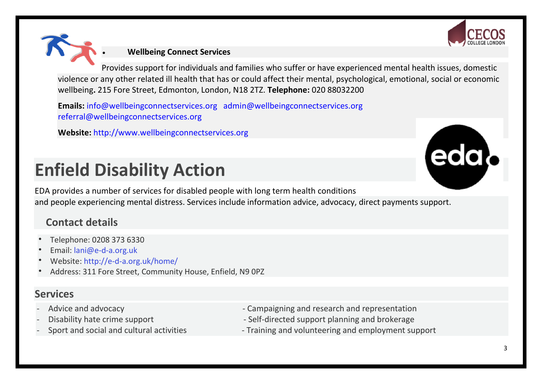



Provides support for individuals and families who suffer or have experienced mental health issues, domestic violence or any other related ill health that has or could affect their mental, psychological, emotional, social or economic wellbeing**.** 215 Fore Street, Edmonton, London, N18 2TZ. **Telephone:** 020 88032200

**Emails:** [info@wellbeingconnectservices.org](mailto:info@wellbeingconnectservices.org) [admin@wellbeingconnectservices.org](mailto:admin@wellbeingconnectservices.org) [referral@wellbeingconnectservices.org](mailto:referral@wellbeingconnectservices.org)

**Website:** [http://www.wellbeingconnectservices.org](http://www.wellbeingconnectservices.org/)

# **Enfield Disability Action**



EDA provides a number of services for disabled people with long term health conditions and people experiencing mental distress. Services include information advice, advocacy, direct payments support.

## **Contact details**

- Telephone: 0208 373 6330
- Email: [lani@e-d-a.org.uk](mailto:lani@e-d-a.org.uk)
- Website: <http://e-d-a.org.uk/home/>
- Address: 311 Fore Street, Community House, Enfield, N9 0PZ

## **Services**

- 
- 
- 
- Advice and advocacy and advocacy and research and representation
- Disability hate crime support **Exercise 2** Self-directed support planning and brokerage
- Sport and social and cultural activities Training and volunteering and employment support